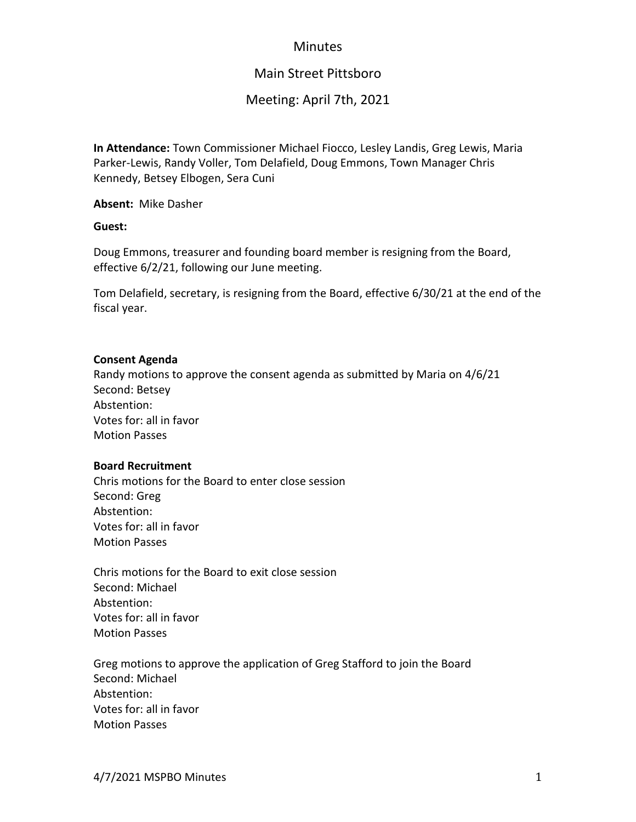## **Minutes**

# Main Street Pittsboro

## Meeting: April 7th, 2021

**In Attendance:** Town Commissioner Michael Fiocco, Lesley Landis, Greg Lewis, Maria Parker-Lewis, Randy Voller, Tom Delafield, Doug Emmons, Town Manager Chris Kennedy, Betsey Elbogen, Sera Cuni

**Absent:** Mike Dasher

**Guest:**

Doug Emmons, treasurer and founding board member is resigning from the Board, effective 6/2/21, following our June meeting.

Tom Delafield, secretary, is resigning from the Board, effective 6/30/21 at the end of the fiscal year.

#### **Consent Agenda**

Randy motions to approve the consent agenda as submitted by Maria on 4/6/21 Second: Betsey Abstention: Votes for: all in favor Motion Passes

#### **Board Recruitment**

Chris motions for the Board to enter close session Second: Greg Abstention: Votes for: all in favor Motion Passes

Chris motions for the Board to exit close session Second: Michael Abstention: Votes for: all in favor Motion Passes

Greg motions to approve the application of Greg Stafford to join the Board Second: Michael Abstention: Votes for: all in favor Motion Passes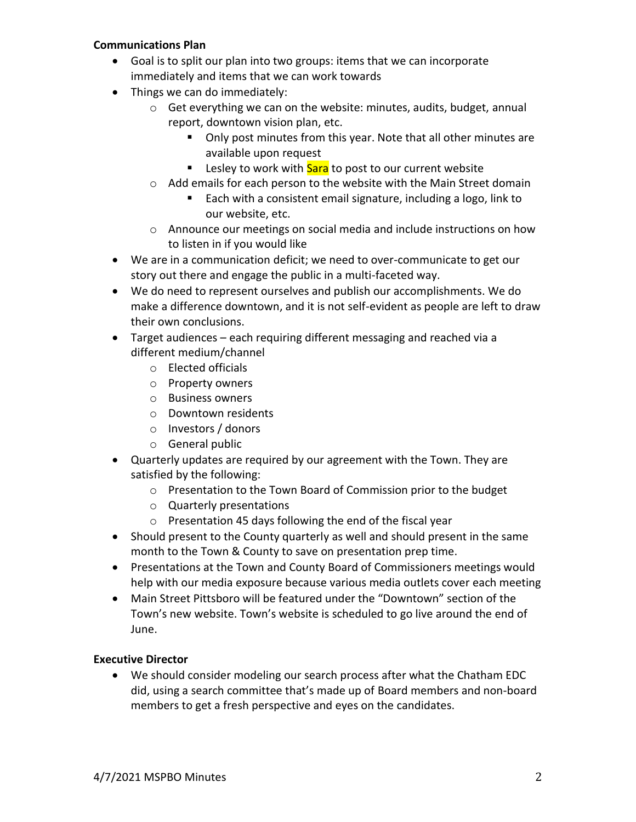### **Communications Plan**

- Goal is to split our plan into two groups: items that we can incorporate immediately and items that we can work towards
- Things we can do immediately:
	- o Get everything we can on the website: minutes, audits, budget, annual report, downtown vision plan, etc.
		- Only post minutes from this year. Note that all other minutes are available upon request
		- **E** Lesley to work with **Sara** to post to our current website
	- o Add emails for each person to the website with the Main Street domain
		- Each with a consistent email signature, including a logo, link to our website, etc.
	- o Announce our meetings on social media and include instructions on how to listen in if you would like
- We are in a communication deficit; we need to over-communicate to get our story out there and engage the public in a multi-faceted way.
- We do need to represent ourselves and publish our accomplishments. We do make a difference downtown, and it is not self-evident as people are left to draw their own conclusions.
- Target audiences each requiring different messaging and reached via a different medium/channel
	- o Elected officials
	- o Property owners
	- o Business owners
	- o Downtown residents
	- o Investors / donors
	- o General public
- Quarterly updates are required by our agreement with the Town. They are satisfied by the following:
	- o Presentation to the Town Board of Commission prior to the budget
	- o Quarterly presentations
	- o Presentation 45 days following the end of the fiscal year
- Should present to the County quarterly as well and should present in the same month to the Town & County to save on presentation prep time.
- Presentations at the Town and County Board of Commissioners meetings would help with our media exposure because various media outlets cover each meeting
- Main Street Pittsboro will be featured under the "Downtown" section of the Town's new website. Town's website is scheduled to go live around the end of June.

### **Executive Director**

• We should consider modeling our search process after what the Chatham EDC did, using a search committee that's made up of Board members and non-board members to get a fresh perspective and eyes on the candidates.